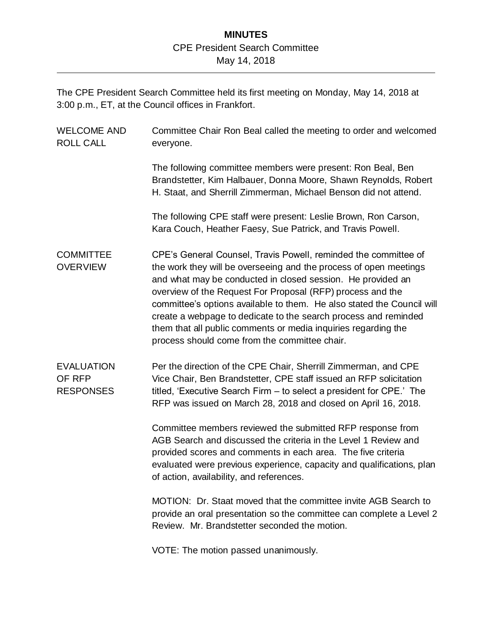## **MINUTES** CPE President Search Committee May 14, 2018

The CPE President Search Committee held its first meeting on Monday, May 14, 2018 at 3:00 p.m., ET, at the Council offices in Frankfort.

| <b>WELCOME AND</b><br><b>ROLL CALL</b>          | Committee Chair Ron Beal called the meeting to order and welcomed<br>everyone.                                                                                                                                                                                                                                                                                                                                                                                                                                                    |
|-------------------------------------------------|-----------------------------------------------------------------------------------------------------------------------------------------------------------------------------------------------------------------------------------------------------------------------------------------------------------------------------------------------------------------------------------------------------------------------------------------------------------------------------------------------------------------------------------|
|                                                 | The following committee members were present: Ron Beal, Ben<br>Brandstetter, Kim Halbauer, Donna Moore, Shawn Reynolds, Robert<br>H. Staat, and Sherrill Zimmerman, Michael Benson did not attend.                                                                                                                                                                                                                                                                                                                                |
|                                                 | The following CPE staff were present: Leslie Brown, Ron Carson,<br>Kara Couch, Heather Faesy, Sue Patrick, and Travis Powell.                                                                                                                                                                                                                                                                                                                                                                                                     |
| <b>COMMITTEE</b><br><b>OVERVIEW</b>             | CPE's General Counsel, Travis Powell, reminded the committee of<br>the work they will be overseeing and the process of open meetings<br>and what may be conducted in closed session. He provided an<br>overview of the Request For Proposal (RFP) process and the<br>committee's options available to them. He also stated the Council will<br>create a webpage to dedicate to the search process and reminded<br>them that all public comments or media inquiries regarding the<br>process should come from the committee chair. |
| <b>EVALUATION</b><br>OF RFP<br><b>RESPONSES</b> | Per the direction of the CPE Chair, Sherrill Zimmerman, and CPE<br>Vice Chair, Ben Brandstetter, CPE staff issued an RFP solicitation<br>titled, 'Executive Search Firm - to select a president for CPE.' The<br>RFP was issued on March 28, 2018 and closed on April 16, 2018.                                                                                                                                                                                                                                                   |
|                                                 | Committee members reviewed the submitted RFP response from<br>AGB Search and discussed the criteria in the Level 1 Review and<br>provided scores and comments in each area. The five criteria<br>evaluated were previous experience, capacity and qualifications, plan<br>of action, availability, and references.                                                                                                                                                                                                                |
|                                                 | MOTION: Dr. Staat moved that the committee invite AGB Search to<br>provide an oral presentation so the committee can complete a Level 2<br>Review. Mr. Brandstetter seconded the motion.                                                                                                                                                                                                                                                                                                                                          |

VOTE: The motion passed unanimously.